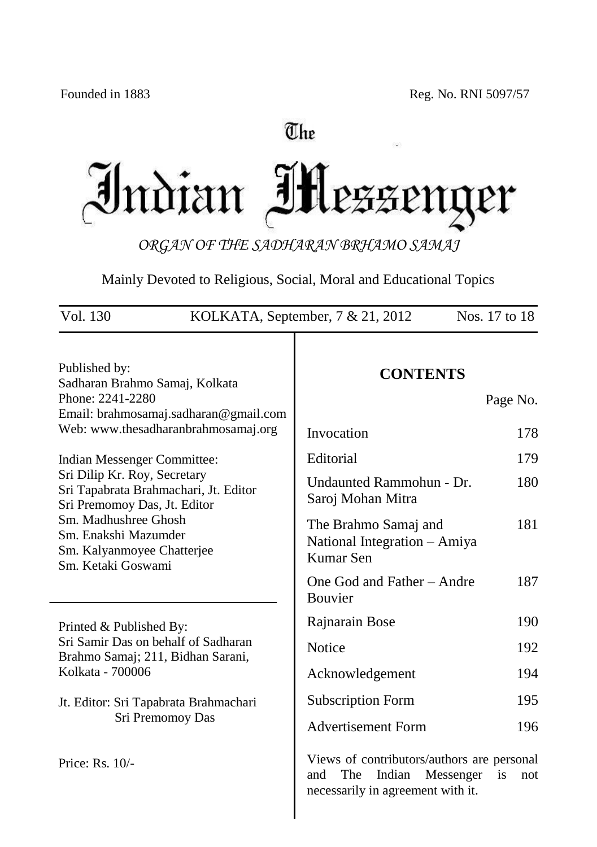# The

Indian Mezzeng er

*ORGAN OF THE SADHARAN BRHAMO SAMAJ*

Mainly Devoted to Religious, Social, Moral and Educational Topics

| Vol. 130                                                                                              | Nos. 17 to 18<br>KOLKATA, September, $7 & 21,2012$                                                                                |
|-------------------------------------------------------------------------------------------------------|-----------------------------------------------------------------------------------------------------------------------------------|
| Published by:<br>Sadharan Brahmo Samaj, Kolkata                                                       | <b>CONTENTS</b>                                                                                                                   |
| Phone: 2241-2280<br>Email: brahmosamaj.sadharan@gmail.com                                             | Page No.                                                                                                                          |
| Web: www.thesadharanbrahmosamaj.org                                                                   | Invocation<br>178                                                                                                                 |
| Indian Messenger Committee:                                                                           | Editorial<br>179                                                                                                                  |
| Sri Dilip Kr. Roy, Secretary<br>Sri Tapabrata Brahmachari, Jt. Editor<br>Sri Premomoy Das, Jt. Editor | Undaunted Rammohun - Dr.<br>180<br>Saroj Mohan Mitra                                                                              |
| Sm. Madhushree Ghosh<br>Sm. Enakshi Mazumder<br>Sm. Kalyanmoyee Chatterjee<br>Sm. Ketaki Goswami      | 181<br>The Brahmo Samaj and<br>National Integration - Amiya<br>Kumar Sen                                                          |
|                                                                                                       | One God and Father - Andre<br>187<br><b>Bouvier</b>                                                                               |
| Printed & Published By:                                                                               | 190<br>Rajnarain Bose                                                                                                             |
| Sri Samir Das on behalf of Sadharan<br>Brahmo Samaj; 211, Bidhan Sarani,                              | Notice<br>192                                                                                                                     |
| Kolkata - 700006                                                                                      | Acknowledgement<br>194                                                                                                            |
| Jt. Editor: Sri Tapabrata Brahmachari                                                                 | <b>Subscription Form</b><br>195                                                                                                   |
| Sri Premomoy Das                                                                                      | <b>Advertisement Form</b><br>196                                                                                                  |
| Price: Rs. 10/-                                                                                       | Views of contributors/authors are personal<br>The<br>Indian<br>and<br>Messenger<br>is<br>not<br>necessarily in agreement with it. |

 $\overline{\phantom{a}}$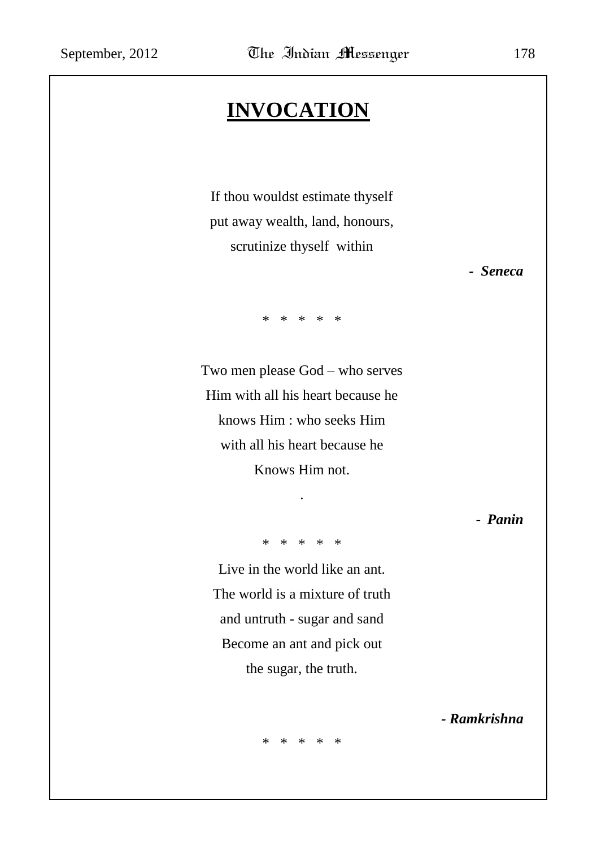# **INVOCATION**

If thou wouldst estimate thyself put away wealth, land, honours, scrutinize thyself within

*- Seneca*

\* \* \* \* \*

Two men please God – who serves Him with all his heart because he knows Him : who seeks Him with all his heart because he Knows Him not.

*- Panin*

\* \* \* \* \*

.

Live in the world like an ant. The world is a mixture of truth and untruth - sugar and sand Become an ant and pick out the sugar, the truth.

*- Ramkrishna*

\* \* \* \* \*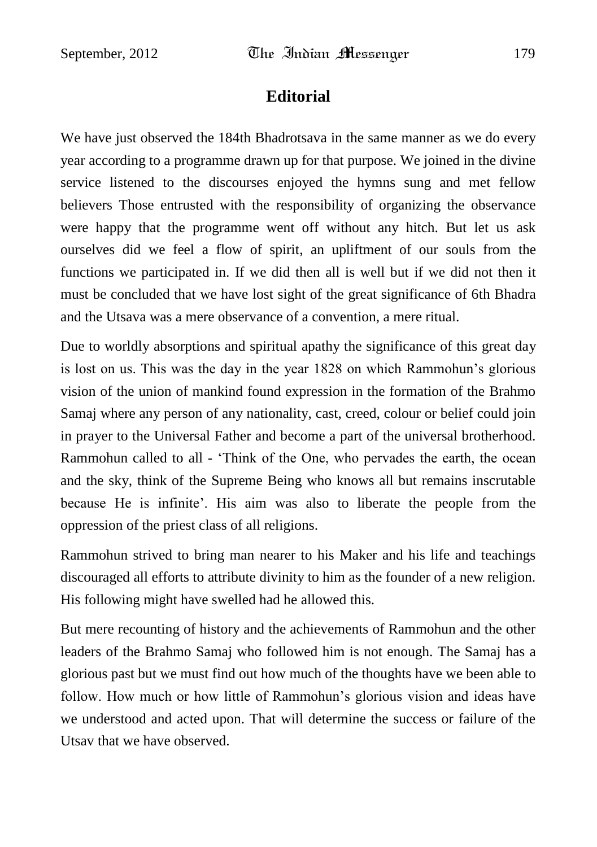## **Editorial**

We have just observed the 184th Bhadrotsava in the same manner as we do every year according to a programme drawn up for that purpose. We joined in the divine service listened to the discourses enjoyed the hymns sung and met fellow believers Those entrusted with the responsibility of organizing the observance were happy that the programme went off without any hitch. But let us ask ourselves did we feel a flow of spirit, an upliftment of our souls from the functions we participated in. If we did then all is well but if we did not then it must be concluded that we have lost sight of the great significance of 6th Bhadra and the Utsava was a mere observance of a convention, a mere ritual.

Due to worldly absorptions and spiritual apathy the significance of this great day is lost on us. This was the day in the year 1828 on which Rammohun"s glorious vision of the union of mankind found expression in the formation of the Brahmo Samaj where any person of any nationality, cast, creed, colour or belief could join in prayer to the Universal Father and become a part of the universal brotherhood. Rammohun called to all - "Think of the One, who pervades the earth, the ocean and the sky, think of the Supreme Being who knows all but remains inscrutable because He is infinite". His aim was also to liberate the people from the oppression of the priest class of all religions.

Rammohun strived to bring man nearer to his Maker and his life and teachings discouraged all efforts to attribute divinity to him as the founder of a new religion. His following might have swelled had he allowed this.

But mere recounting of history and the achievements of Rammohun and the other leaders of the Brahmo Samaj who followed him is not enough. The Samaj has a glorious past but we must find out how much of the thoughts have we been able to follow. How much or how little of Rammohun's glorious vision and ideas have we understood and acted upon. That will determine the success or failure of the Utsav that we have observed.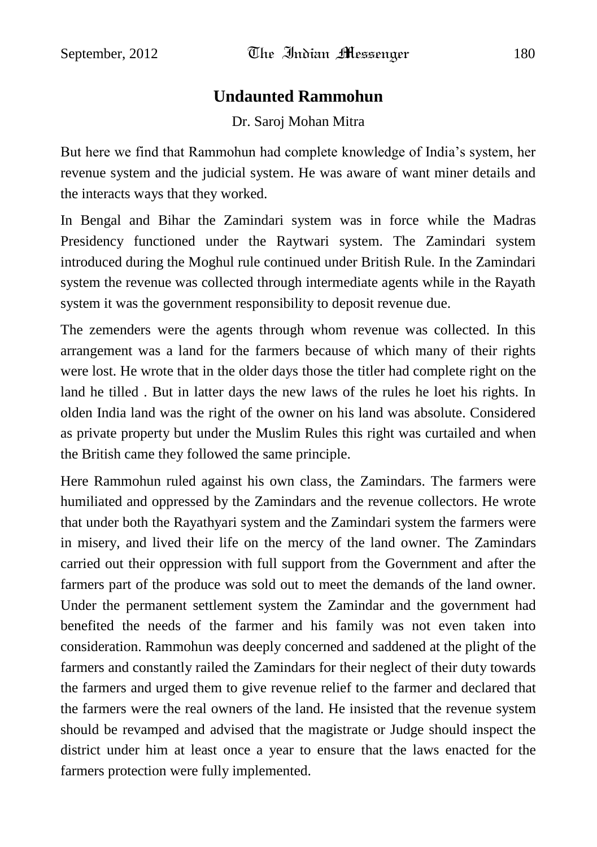#### **Undaunted Rammohun**

#### Dr. Saroj Mohan Mitra

But here we find that Rammohun had complete knowledge of India"s system, her revenue system and the judicial system. He was aware of want miner details and the interacts ways that they worked.

In Bengal and Bihar the Zamindari system was in force while the Madras Presidency functioned under the Raytwari system. The Zamindari system introduced during the Moghul rule continued under British Rule. In the Zamindari system the revenue was collected through intermediate agents while in the Rayath system it was the government responsibility to deposit revenue due.

The zemenders were the agents through whom revenue was collected. In this arrangement was a land for the farmers because of which many of their rights were lost. He wrote that in the older days those the titler had complete right on the land he tilled . But in latter days the new laws of the rules he loet his rights. In olden India land was the right of the owner on his land was absolute. Considered as private property but under the Muslim Rules this right was curtailed and when the British came they followed the same principle.

Here Rammohun ruled against his own class, the Zamindars. The farmers were humiliated and oppressed by the Zamindars and the revenue collectors. He wrote that under both the Rayathyari system and the Zamindari system the farmers were in misery, and lived their life on the mercy of the land owner. The Zamindars carried out their oppression with full support from the Government and after the farmers part of the produce was sold out to meet the demands of the land owner. Under the permanent settlement system the Zamindar and the government had benefited the needs of the farmer and his family was not even taken into consideration. Rammohun was deeply concerned and saddened at the plight of the farmers and constantly railed the Zamindars for their neglect of their duty towards the farmers and urged them to give revenue relief to the farmer and declared that the farmers were the real owners of the land. He insisted that the revenue system should be revamped and advised that the magistrate or Judge should inspect the district under him at least once a year to ensure that the laws enacted for the farmers protection were fully implemented.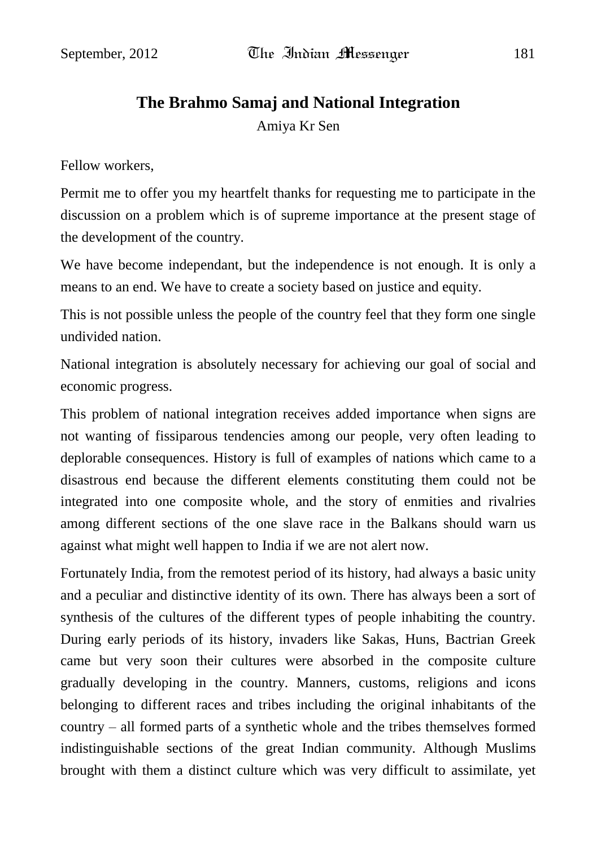## **The Brahmo Samaj and National Integration**

Amiya Kr Sen

Fellow workers,

Permit me to offer you my heartfelt thanks for requesting me to participate in the discussion on a problem which is of supreme importance at the present stage of the development of the country.

We have become independant, but the independence is not enough. It is only a means to an end. We have to create a society based on justice and equity.

This is not possible unless the people of the country feel that they form one single undivided nation.

National integration is absolutely necessary for achieving our goal of social and economic progress.

This problem of national integration receives added importance when signs are not wanting of fissiparous tendencies among our people, very often leading to deplorable consequences. History is full of examples of nations which came to a disastrous end because the different elements constituting them could not be integrated into one composite whole, and the story of enmities and rivalries among different sections of the one slave race in the Balkans should warn us against what might well happen to India if we are not alert now.

Fortunately India, from the remotest period of its history, had always a basic unity and a peculiar and distinctive identity of its own. There has always been a sort of synthesis of the cultures of the different types of people inhabiting the country. During early periods of its history, invaders like Sakas, Huns, Bactrian Greek came but very soon their cultures were absorbed in the composite culture gradually developing in the country. Manners, customs, religions and icons belonging to different races and tribes including the original inhabitants of the country – all formed parts of a synthetic whole and the tribes themselves formed indistinguishable sections of the great Indian community. Although Muslims brought with them a distinct culture which was very difficult to assimilate, yet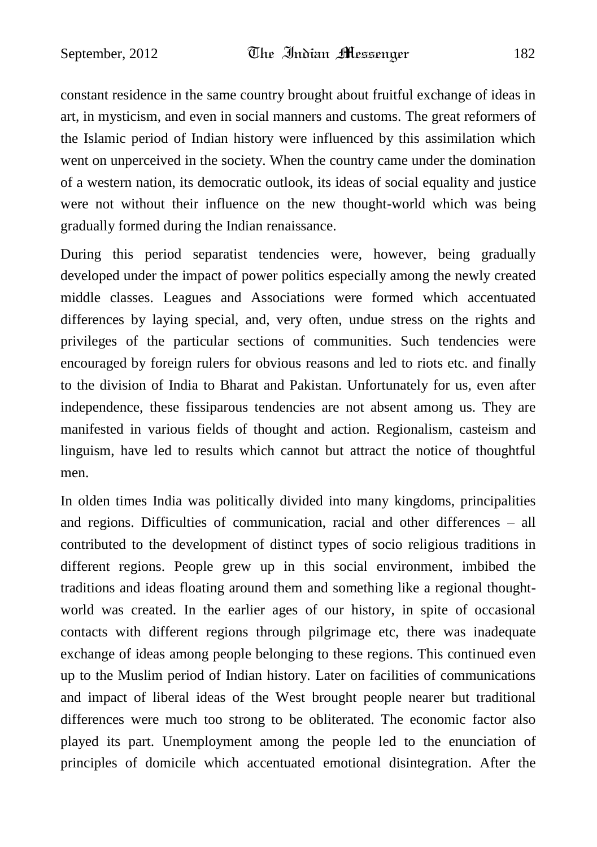constant residence in the same country brought about fruitful exchange of ideas in art, in mysticism, and even in social manners and customs. The great reformers of the Islamic period of Indian history were influenced by this assimilation which went on unperceived in the society. When the country came under the domination of a western nation, its democratic outlook, its ideas of social equality and justice were not without their influence on the new thought-world which was being gradually formed during the Indian renaissance.

During this period separatist tendencies were, however, being gradually developed under the impact of power politics especially among the newly created middle classes. Leagues and Associations were formed which accentuated differences by laying special, and, very often, undue stress on the rights and privileges of the particular sections of communities. Such tendencies were encouraged by foreign rulers for obvious reasons and led to riots etc. and finally to the division of India to Bharat and Pakistan. Unfortunately for us, even after independence, these fissiparous tendencies are not absent among us. They are manifested in various fields of thought and action. Regionalism, casteism and linguism, have led to results which cannot but attract the notice of thoughtful men.

In olden times India was politically divided into many kingdoms, principalities and regions. Difficulties of communication, racial and other differences – all contributed to the development of distinct types of socio religious traditions in different regions. People grew up in this social environment, imbibed the traditions and ideas floating around them and something like a regional thoughtworld was created. In the earlier ages of our history, in spite of occasional contacts with different regions through pilgrimage etc, there was inadequate exchange of ideas among people belonging to these regions. This continued even up to the Muslim period of Indian history. Later on facilities of communications and impact of liberal ideas of the West brought people nearer but traditional differences were much too strong to be obliterated. The economic factor also played its part. Unemployment among the people led to the enunciation of principles of domicile which accentuated emotional disintegration. After the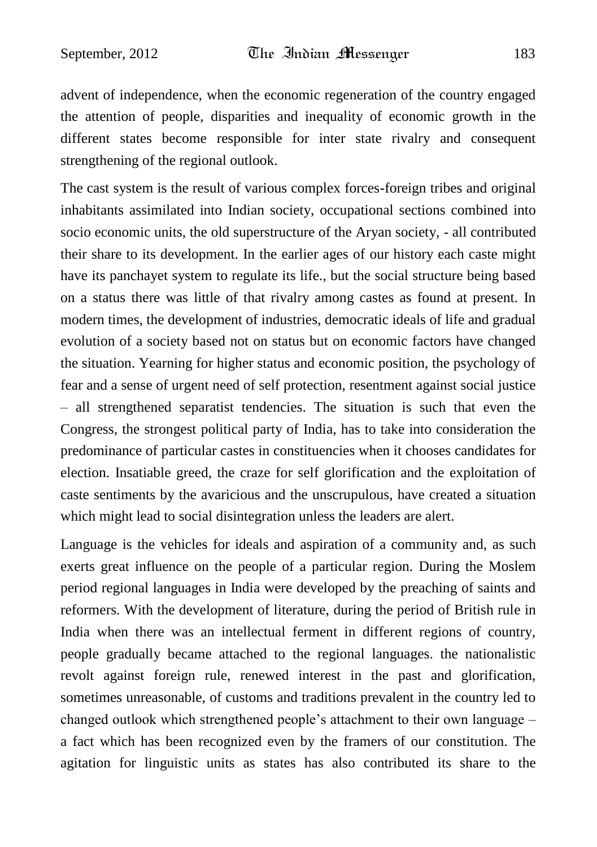advent of independence, when the economic regeneration of the country engaged the attention of people, disparities and inequality of economic growth in the different states become responsible for inter state rivalry and consequent strengthening of the regional outlook.

The cast system is the result of various complex forces-foreign tribes and original inhabitants assimilated into Indian society, occupational sections combined into socio economic units, the old superstructure of the Aryan society, - all contributed their share to its development. In the earlier ages of our history each caste might have its panchayet system to regulate its life., but the social structure being based on a status there was little of that rivalry among castes as found at present. In modern times, the development of industries, democratic ideals of life and gradual evolution of a society based not on status but on economic factors have changed the situation. Yearning for higher status and economic position, the psychology of fear and a sense of urgent need of self protection, resentment against social justice – all strengthened separatist tendencies. The situation is such that even the Congress, the strongest political party of India, has to take into consideration the predominance of particular castes in constituencies when it chooses candidates for election. Insatiable greed, the craze for self glorification and the exploitation of caste sentiments by the avaricious and the unscrupulous, have created a situation which might lead to social disintegration unless the leaders are alert.

Language is the vehicles for ideals and aspiration of a community and, as such exerts great influence on the people of a particular region. During the Moslem period regional languages in India were developed by the preaching of saints and reformers. With the development of literature, during the period of British rule in India when there was an intellectual ferment in different regions of country, people gradually became attached to the regional languages. the nationalistic revolt against foreign rule, renewed interest in the past and glorification, sometimes unreasonable, of customs and traditions prevalent in the country led to changed outlook which strengthened people"s attachment to their own language – a fact which has been recognized even by the framers of our constitution. The agitation for linguistic units as states has also contributed its share to the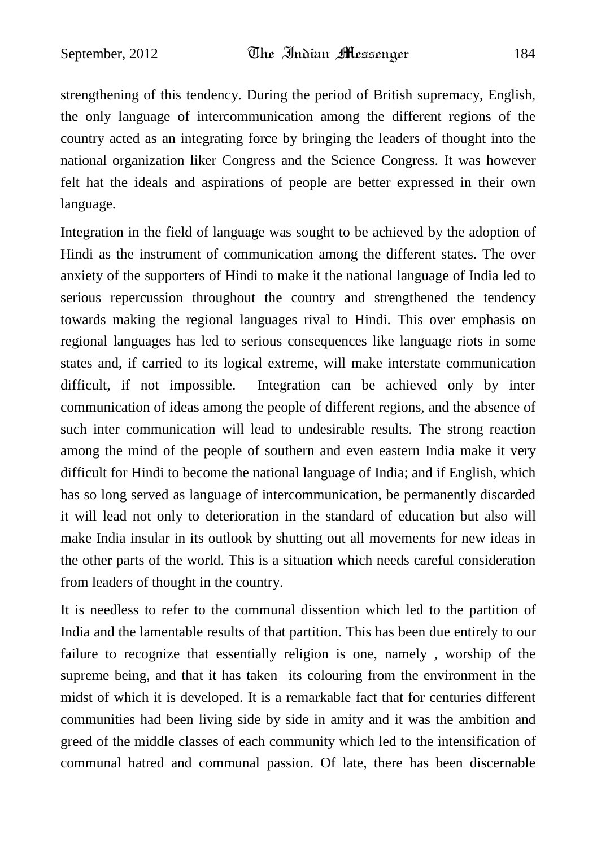strengthening of this tendency. During the period of British supremacy, English, the only language of intercommunication among the different regions of the country acted as an integrating force by bringing the leaders of thought into the national organization liker Congress and the Science Congress. It was however felt hat the ideals and aspirations of people are better expressed in their own language.

Integration in the field of language was sought to be achieved by the adoption of Hindi as the instrument of communication among the different states. The over anxiety of the supporters of Hindi to make it the national language of India led to serious repercussion throughout the country and strengthened the tendency towards making the regional languages rival to Hindi. This over emphasis on regional languages has led to serious consequences like language riots in some states and, if carried to its logical extreme, will make interstate communication difficult, if not impossible. Integration can be achieved only by inter communication of ideas among the people of different regions, and the absence of such inter communication will lead to undesirable results. The strong reaction among the mind of the people of southern and even eastern India make it very difficult for Hindi to become the national language of India; and if English, which has so long served as language of intercommunication, be permanently discarded it will lead not only to deterioration in the standard of education but also will make India insular in its outlook by shutting out all movements for new ideas in the other parts of the world. This is a situation which needs careful consideration from leaders of thought in the country.

It is needless to refer to the communal dissention which led to the partition of India and the lamentable results of that partition. This has been due entirely to our failure to recognize that essentially religion is one, namely , worship of the supreme being, and that it has taken its colouring from the environment in the midst of which it is developed. It is a remarkable fact that for centuries different communities had been living side by side in amity and it was the ambition and greed of the middle classes of each community which led to the intensification of communal hatred and communal passion. Of late, there has been discernable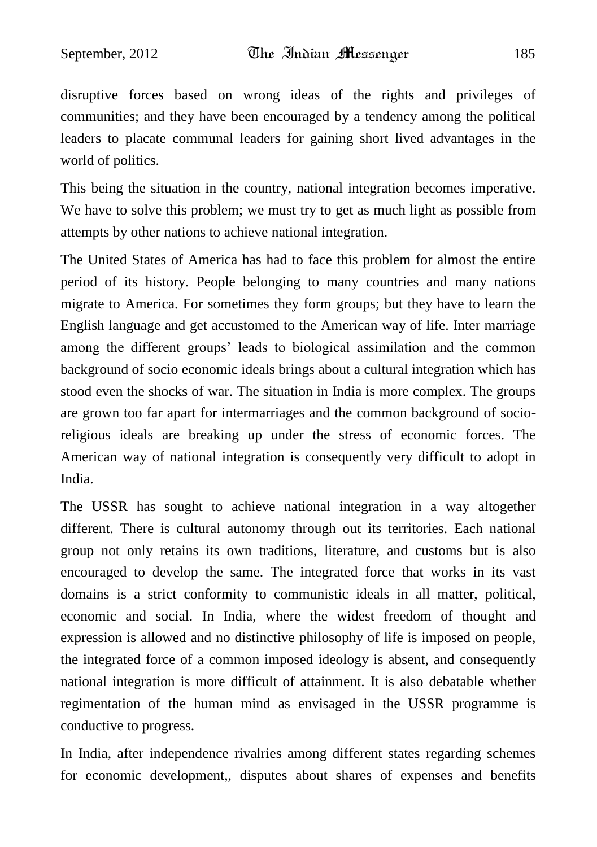disruptive forces based on wrong ideas of the rights and privileges of communities; and they have been encouraged by a tendency among the political leaders to placate communal leaders for gaining short lived advantages in the world of politics.

This being the situation in the country, national integration becomes imperative. We have to solve this problem; we must try to get as much light as possible from attempts by other nations to achieve national integration.

The United States of America has had to face this problem for almost the entire period of its history. People belonging to many countries and many nations migrate to America. For sometimes they form groups; but they have to learn the English language and get accustomed to the American way of life. Inter marriage among the different groups' leads to biological assimilation and the common background of socio economic ideals brings about a cultural integration which has stood even the shocks of war. The situation in India is more complex. The groups are grown too far apart for intermarriages and the common background of socioreligious ideals are breaking up under the stress of economic forces. The American way of national integration is consequently very difficult to adopt in India.

The USSR has sought to achieve national integration in a way altogether different. There is cultural autonomy through out its territories. Each national group not only retains its own traditions, literature, and customs but is also encouraged to develop the same. The integrated force that works in its vast domains is a strict conformity to communistic ideals in all matter, political, economic and social. In India, where the widest freedom of thought and expression is allowed and no distinctive philosophy of life is imposed on people, the integrated force of a common imposed ideology is absent, and consequently national integration is more difficult of attainment. It is also debatable whether regimentation of the human mind as envisaged in the USSR programme is conductive to progress.

In India, after independence rivalries among different states regarding schemes for economic development,, disputes about shares of expenses and benefits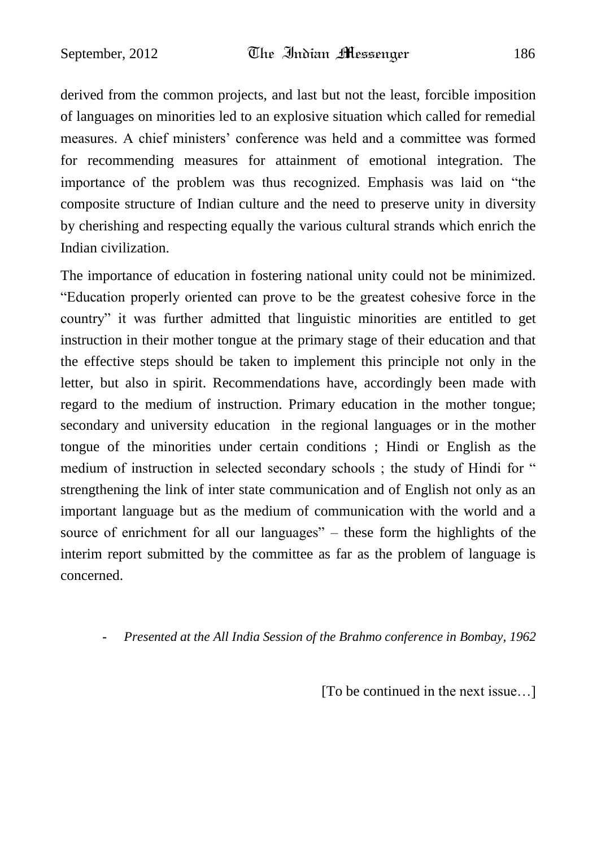derived from the common projects, and last but not the least, forcible imposition of languages on minorities led to an explosive situation which called for remedial measures. A chief ministers" conference was held and a committee was formed for recommending measures for attainment of emotional integration. The importance of the problem was thus recognized. Emphasis was laid on "the composite structure of Indian culture and the need to preserve unity in diversity by cherishing and respecting equally the various cultural strands which enrich the Indian civilization.

The importance of education in fostering national unity could not be minimized. "Education properly oriented can prove to be the greatest cohesive force in the country" it was further admitted that linguistic minorities are entitled to get instruction in their mother tongue at the primary stage of their education and that the effective steps should be taken to implement this principle not only in the letter, but also in spirit. Recommendations have, accordingly been made with regard to the medium of instruction. Primary education in the mother tongue; secondary and university education in the regional languages or in the mother tongue of the minorities under certain conditions ; Hindi or English as the medium of instruction in selected secondary schools ; the study of Hindi for " strengthening the link of inter state communication and of English not only as an important language but as the medium of communication with the world and a source of enrichment for all our languages" – these form the highlights of the interim report submitted by the committee as far as the problem of language is concerned.

#### **-** *Presented at the All India Session of the Brahmo conference in Bombay, 1962*

[To be continued in the next issue…]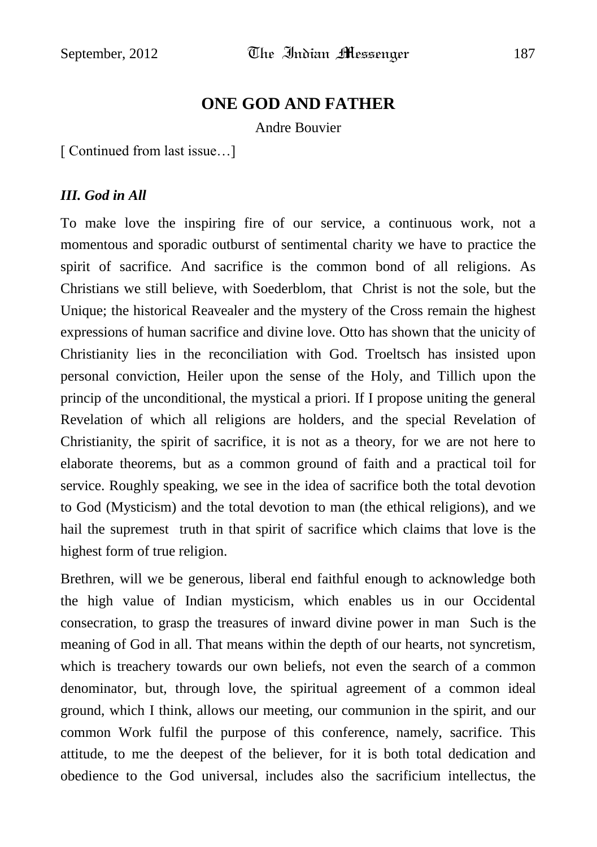## **ONE GOD AND FATHER**

Andre Bouvier

[ Continued from last issue…]

#### *III. God in All*

To make love the inspiring fire of our service, a continuous work, not a momentous and sporadic outburst of sentimental charity we have to practice the spirit of sacrifice. And sacrifice is the common bond of all religions. As Christians we still believe, with Soederblom, that Christ is not the sole, but the Unique; the historical Reavealer and the mystery of the Cross remain the highest expressions of human sacrifice and divine love. Otto has shown that the unicity of Christianity lies in the reconciliation with God. Troeltsch has insisted upon personal conviction, Heiler upon the sense of the Holy, and Tillich upon the princip of the unconditional, the mystical a priori. If I propose uniting the general Revelation of which all religions are holders, and the special Revelation of Christianity, the spirit of sacrifice, it is not as a theory, for we are not here to elaborate theorems, but as a common ground of faith and a practical toil for service. Roughly speaking, we see in the idea of sacrifice both the total devotion to God (Mysticism) and the total devotion to man (the ethical religions), and we hail the supremest truth in that spirit of sacrifice which claims that love is the highest form of true religion.

Brethren, will we be generous, liberal end faithful enough to acknowledge both the high value of Indian mysticism, which enables us in our Occidental consecration, to grasp the treasures of inward divine power in man Such is the meaning of God in all. That means within the depth of our hearts, not syncretism, which is treachery towards our own beliefs, not even the search of a common denominator, but, through love, the spiritual agreement of a common ideal ground, which I think, allows our meeting, our communion in the spirit, and our common Work fulfil the purpose of this conference, namely, sacrifice. This attitude, to me the deepest of the believer, for it is both total dedication and obedience to the God universal, includes also the sacrificium intellectus, the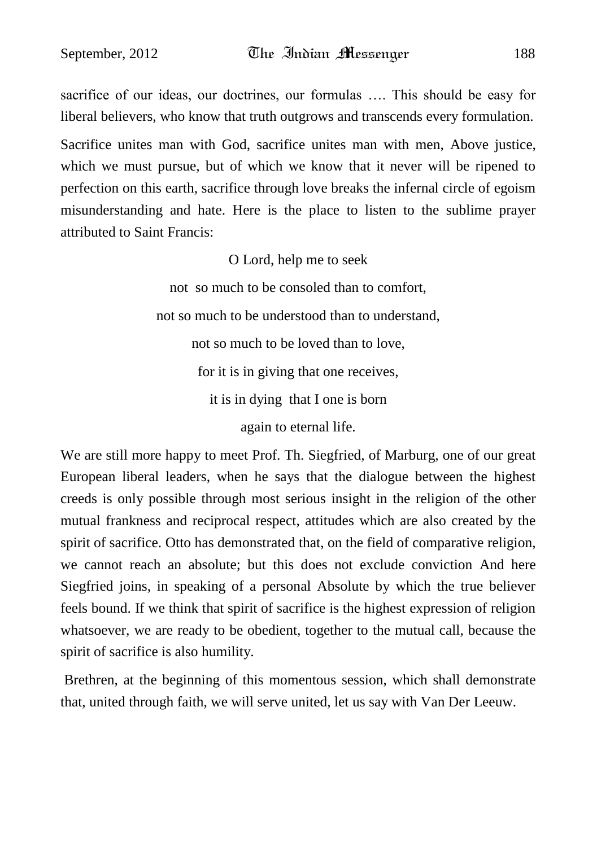sacrifice of our ideas, our doctrines, our formulas …. This should be easy for liberal believers, who know that truth outgrows and transcends every formulation. Sacrifice unites man with God, sacrifice unites man with men, Above justice, which we must pursue, but of which we know that it never will be ripened to perfection on this earth, sacrifice through love breaks the infernal circle of egoism misunderstanding and hate. Here is the place to listen to the sublime prayer attributed to Saint Francis:

O Lord, help me to seek

not so much to be consoled than to comfort, not so much to be understood than to understand, not so much to be loved than to love, for it is in giving that one receives, it is in dying that I one is born again to eternal life.

We are still more happy to meet Prof. Th. Siegfried, of Marburg, one of our great European liberal leaders, when he says that the dialogue between the highest creeds is only possible through most serious insight in the religion of the other mutual frankness and reciprocal respect, attitudes which are also created by the spirit of sacrifice. Otto has demonstrated that, on the field of comparative religion, we cannot reach an absolute; but this does not exclude conviction And here Siegfried joins, in speaking of a personal Absolute by which the true believer feels bound. If we think that spirit of sacrifice is the highest expression of religion whatsoever, we are ready to be obedient, together to the mutual call, because the spirit of sacrifice is also humility.

Brethren, at the beginning of this momentous session, which shall demonstrate that, united through faith, we will serve united, let us say with Van Der Leeuw.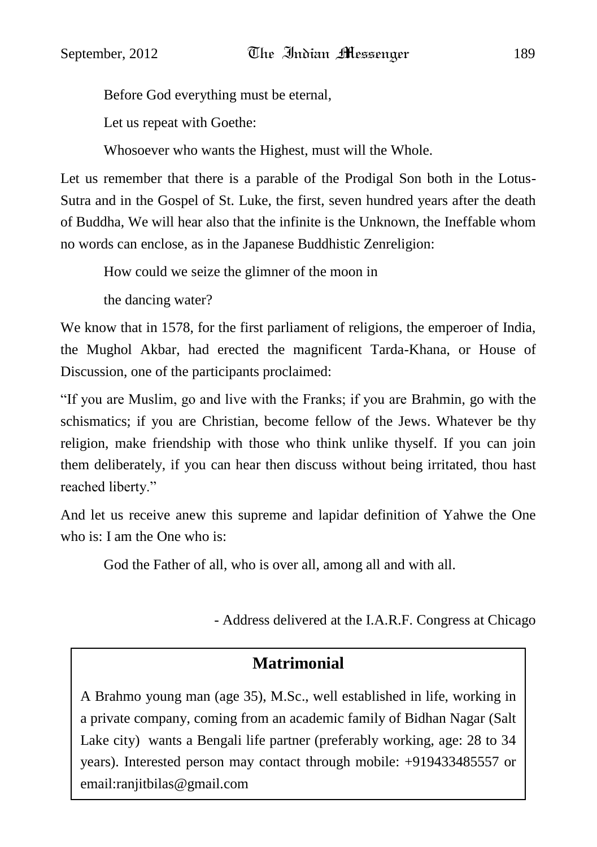Before God everything must be eternal,

Let us repeat with Goethe:

Whosoever who wants the Highest, must will the Whole.

Let us remember that there is a parable of the Prodigal Son both in the Lotus-Sutra and in the Gospel of St. Luke, the first, seven hundred years after the death of Buddha, We will hear also that the infinite is the Unknown, the Ineffable whom no words can enclose, as in the Japanese Buddhistic Zenreligion:

How could we seize the glimner of the moon in

the dancing water?

We know that in 1578, for the first parliament of religions, the emperoer of India, the Mughol Akbar, had erected the magnificent Tarda-Khana, or House of Discussion, one of the participants proclaimed:

"If you are Muslim, go and live with the Franks; if you are Brahmin, go with the schismatics; if you are Christian, become fellow of the Jews. Whatever be thy religion, make friendship with those who think unlike thyself. If you can join them deliberately, if you can hear then discuss without being irritated, thou hast reached liberty."

And let us receive anew this supreme and lapidar definition of Yahwe the One who is: I am the One who is:

God the Father of all, who is over all, among all and with all.

- Address delivered at the I.A.R.F. Congress at Chicago

## **Matrimonial**

A Brahmo young man (age 35), M.Sc., well established in life, working in a private company, coming from an academic family of Bidhan Nagar (Salt Lake city) wants a Bengali life partner (preferably working, age: 28 to 34 years). Interested person may contact through mobile: +919433485557 or email:ranjitbilas@gmail.com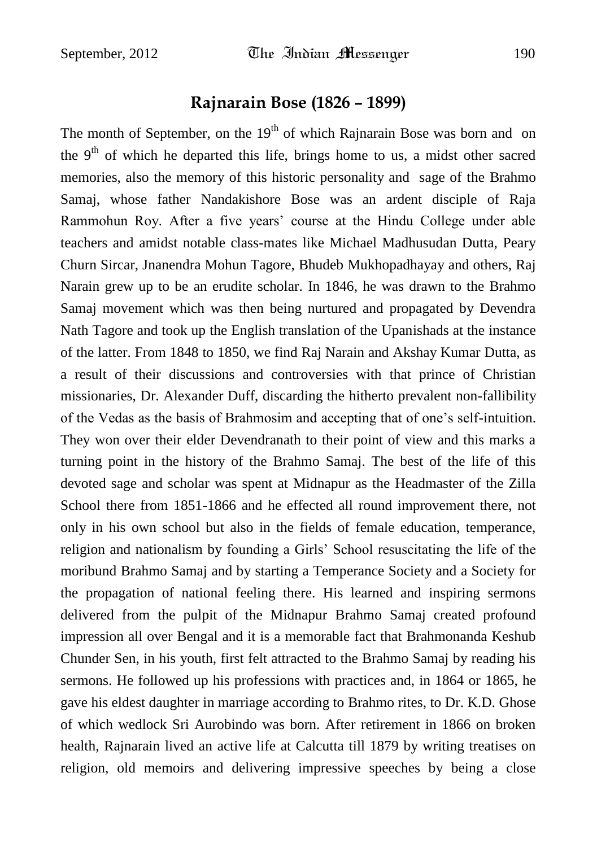## **Rajnarain Bose (1826 – 1899)**

The month of September, on the  $19<sup>th</sup>$  of which Rajnarain Bose was born and on the  $9<sup>th</sup>$  of which he departed this life, brings home to us, a midst other sacred memories, also the memory of this historic personality and sage of the Brahmo Samaj, whose father Nandakishore Bose was an ardent disciple of Raja Rammohun Roy. After a five years" course at the Hindu College under able teachers and amidst notable class-mates like Michael Madhusudan Dutta, Peary Churn Sircar, Jnanendra Mohun Tagore, Bhudeb Mukhopadhayay and others, Raj Narain grew up to be an erudite scholar. In 1846, he was drawn to the Brahmo Samaj movement which was then being nurtured and propagated by Devendra Nath Tagore and took up the English translation of the Upanishads at the instance of the latter. From 1848 to 1850, we find Raj Narain and Akshay Kumar Dutta, as a result of their discussions and controversies with that prince of Christian missionaries, Dr. Alexander Duff, discarding the hitherto prevalent non-fallibility of the Vedas as the basis of Brahmosim and accepting that of one"s self-intuition. They won over their elder Devendranath to their point of view and this marks a turning point in the history of the Brahmo Samaj. The best of the life of this devoted sage and scholar was spent at Midnapur as the Headmaster of the Zilla School there from 1851-1866 and he effected all round improvement there, not only in his own school but also in the fields of female education, temperance, religion and nationalism by founding a Girls" School resuscitating the life of the moribund Brahmo Samaj and by starting a Temperance Society and a Society for the propagation of national feeling there. His learned and inspiring sermons delivered from the pulpit of the Midnapur Brahmo Samaj created profound impression all over Bengal and it is a memorable fact that Brahmonanda Keshub Chunder Sen, in his youth, first felt attracted to the Brahmo Samaj by reading his sermons. He followed up his professions with practices and, in 1864 or 1865, he gave his eldest daughter in marriage according to Brahmo rites, to Dr. K.D. Ghose of which wedlock Sri Aurobindo was born. After retirement in 1866 on broken health, Rajnarain lived an active life at Calcutta till 1879 by writing treatises on religion, old memoirs and delivering impressive speeches by being a close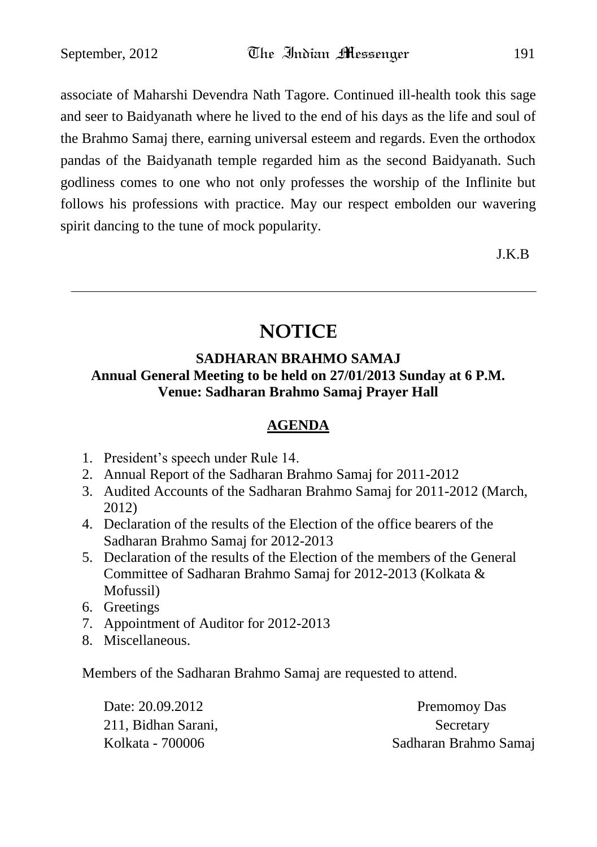associate of Maharshi Devendra Nath Tagore. Continued ill-health took this sage and seer to Baidyanath where he lived to the end of his days as the life and soul of the Brahmo Samaj there, earning universal esteem and regards. Even the orthodox pandas of the Baidyanath temple regarded him as the second Baidyanath. Such godliness comes to one who not only professes the worship of the Inflinite but follows his professions with practice. May our respect embolden our wavering spirit dancing to the tune of mock popularity.

J.K.B

## **NOTICE**

#### **SADHARAN BRAHMO SAMAJ Annual General Meeting to be held on 27/01/2013 Sunday at 6 P.M. Venue: Sadharan Brahmo Samaj Prayer Hall**

#### **AGENDA**

- 1. President"s speech under Rule 14.
- 2. Annual Report of the Sadharan Brahmo Samaj for 2011-2012
- 3. Audited Accounts of the Sadharan Brahmo Samaj for 2011-2012 (March, 2012)
- 4. Declaration of the results of the Election of the office bearers of the Sadharan Brahmo Samaj for 2012-2013
- 5. Declaration of the results of the Election of the members of the General Committee of Sadharan Brahmo Samaj for 2012-2013 (Kolkata & Mofussil)
- 6. Greetings
- 7. Appointment of Auditor for 2012-2013
- 8. Miscellaneous.

Members of the Sadharan Brahmo Samaj are requested to attend.

Date: 20.09.2012 Premomoy Das 211, Bidhan Sarani, Secretary

Kolkata - 700006 Sadharan Brahmo Samaj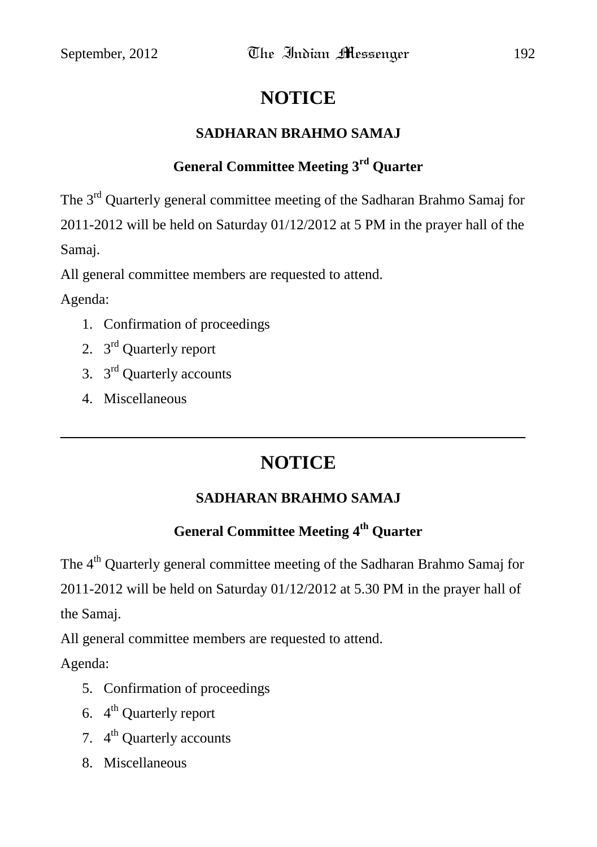## **NOTICE**

#### **SADHARAN BRAHMO SAMAJ**

## **General Committee Meeting 3rd Quarter**

The 3rd Quarterly general committee meeting of the Sadharan Brahmo Samaj for 2011-2012 will be held on Saturday 01/12/2012 at 5 PM in the prayer hall of the Samaj.

All general committee members are requested to attend.

Agenda:

- 1. Confirmation of proceedings
- 2. 3<sup>rd</sup> Quarterly report
- 3.  $3^{\text{rd}}$  Quarterly accounts
- 4. Miscellaneous

## **NOTICE**

### **SADHARAN BRAHMO SAMAJ**

### **General Committee Meeting 4 th Quarter**

The 4<sup>th</sup> Quarterly general committee meeting of the Sadharan Brahmo Samaj for 2011-2012 will be held on Saturday 01/12/2012 at 5.30 PM in the prayer hall of the Samaj.

All general committee members are requested to attend.

Agenda:

- 5. Confirmation of proceedings
- 6.  $4^{\text{th}}$  Quarterly report
- 7. 4<sup>th</sup> Quarterly accounts
- 8. Miscellaneous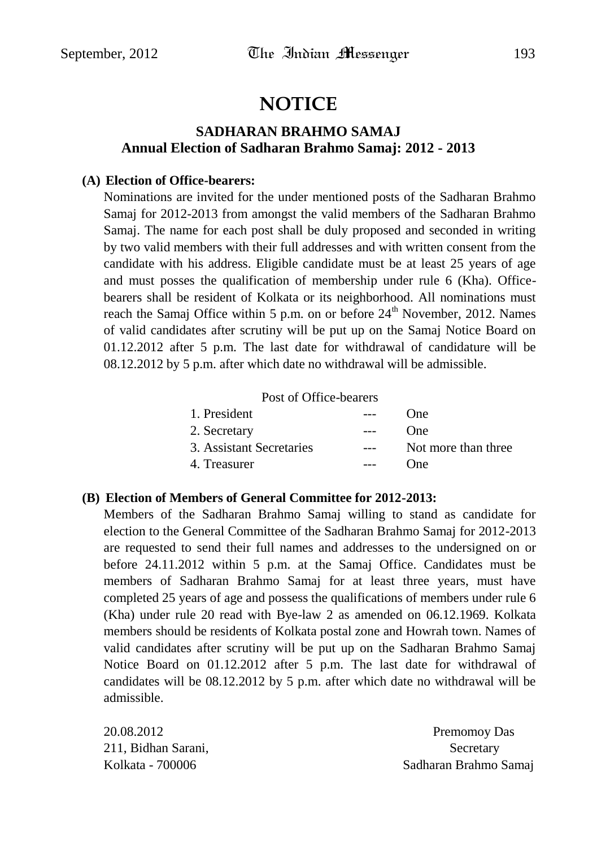## **NOTICE**

#### **SADHARAN BRAHMO SAMAJ Annual Election of Sadharan Brahmo Samaj: 2012 - 2013**

#### **(A) Election of Office-bearers:**

Nominations are invited for the under mentioned posts of the Sadharan Brahmo Samaj for 2012-2013 from amongst the valid members of the Sadharan Brahmo Samaj. The name for each post shall be duly proposed and seconded in writing by two valid members with their full addresses and with written consent from the candidate with his address. Eligible candidate must be at least 25 years of age and must posses the qualification of membership under rule 6 (Kha). Officebearers shall be resident of Kolkata or its neighborhood. All nominations must reach the Samaj Office within 5 p.m. on or before  $24<sup>th</sup>$  November, 2012. Names of valid candidates after scrutiny will be put up on the Samaj Notice Board on 01.12.2012 after 5 p.m. The last date for withdrawal of candidature will be 08.12.2012 by 5 p.m. after which date no withdrawal will be admissible.

#### Post of Office-bearers

| 1. President             |       | One                 |
|--------------------------|-------|---------------------|
| 2. Secretary             |       | <b>One</b>          |
| 3. Assistant Secretaries | $---$ | Not more than three |
| 4. Treasurer             |       | One                 |

#### **(B) Election of Members of General Committee for 2012-2013:**

Members of the Sadharan Brahmo Samaj willing to stand as candidate for election to the General Committee of the Sadharan Brahmo Samaj for 2012-2013 are requested to send their full names and addresses to the undersigned on or before 24.11.2012 within 5 p.m. at the Samaj Office. Candidates must be members of Sadharan Brahmo Samaj for at least three years, must have completed 25 years of age and possess the qualifications of members under rule 6 (Kha) under rule 20 read with Bye-law 2 as amended on 06.12.1969. Kolkata members should be residents of Kolkata postal zone and Howrah town. Names of valid candidates after scrutiny will be put up on the Sadharan Brahmo Samaj Notice Board on 01.12.2012 after 5 p.m. The last date for withdrawal of candidates will be 08.12.2012 by 5 p.m. after which date no withdrawal will be admissible.

211, Bidhan Sarani, Secretary Secretary

20.08.2012 Premomoy Das Kolkata - 700006 Sadharan Brahmo Samaj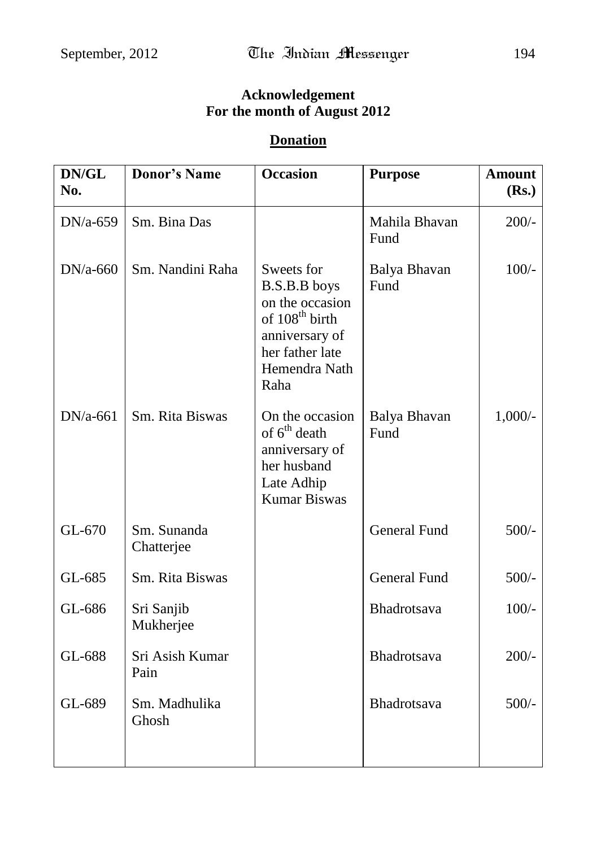## **Acknowledgement For the month of August 2012**

#### **Donation**

| DN/GL<br>No. | <b>Donor's Name</b>       | <b>Occasion</b>                                                                                                                           | <b>Purpose</b>        | <b>Amount</b><br>(Rs.) |
|--------------|---------------------------|-------------------------------------------------------------------------------------------------------------------------------------------|-----------------------|------------------------|
| $DN/a-659$   | Sm. Bina Das              |                                                                                                                                           | Mahila Bhavan<br>Fund | $200/-$                |
| $DN/a-660$   | Sm. Nandini Raha          | Sweets for<br>B.S.B.B boys<br>on the occasion<br>of 108 <sup>th</sup> birth<br>anniversary of<br>her father late<br>Hemendra Nath<br>Raha | Balya Bhavan<br>Fund  | $100/-$                |
| $DN/a-661$   | Sm. Rita Biswas           | On the occasion<br>of 6 <sup>th</sup> death<br>anniversary of<br>her husband<br>Late Adhip<br><b>Kumar Biswas</b>                         | Balya Bhavan<br>Fund  | $1,000/-$              |
| GL-670       | Sm. Sunanda<br>Chatterjee |                                                                                                                                           | <b>General Fund</b>   | $500/-$                |
| GL-685       | Sm. Rita Biswas           |                                                                                                                                           | <b>General Fund</b>   | $500/-$                |
| GL-686       | Sri Sanjib<br>Mukherjee   |                                                                                                                                           | Bhadrotsava           | $100/-$                |
| GL-688       | Sri Asish Kumar<br>Pain   |                                                                                                                                           | Bhadrotsava           | $200/-$                |
| GL-689       | Sm. Madhulika<br>Ghosh    |                                                                                                                                           | Bhadrotsava           | $500/-$                |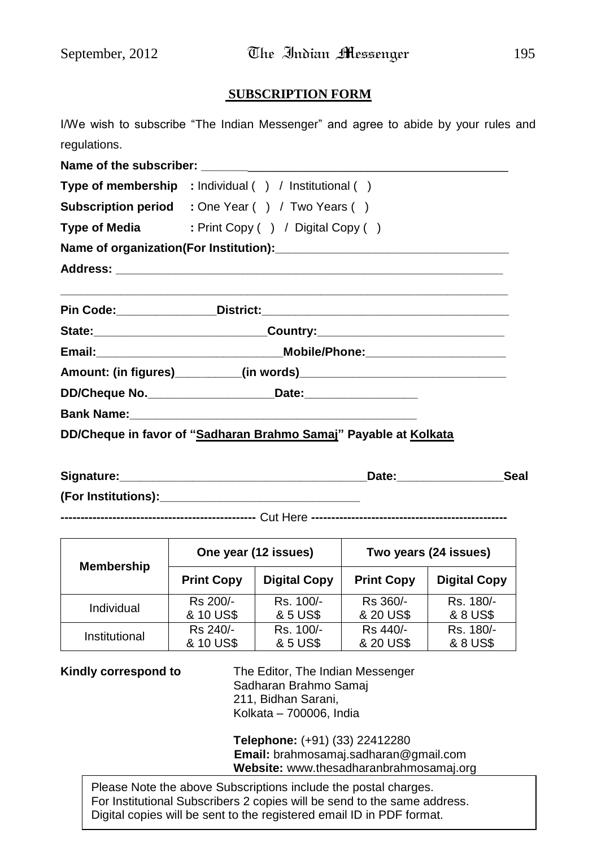#### **SUBSCRIPTION FORM**

|              |  |  | I/We wish to subscribe "The Indian Messenger" and agree to abide by your rules and |  |  |  |  |
|--------------|--|--|------------------------------------------------------------------------------------|--|--|--|--|
| regulations. |  |  |                                                                                    |  |  |  |  |

| Type of membership : Individual () / Institutional ()                            |
|----------------------------------------------------------------------------------|
| <b>Subscription period</b> : One Year () / Two Years ()                          |
| Type of Media : Print Copy () / Digital Copy ()                                  |
|                                                                                  |
|                                                                                  |
|                                                                                  |
| State:_________________________________Country:_________________________________ |
|                                                                                  |
|                                                                                  |
|                                                                                  |
|                                                                                  |
| DD/Cheque in favor of "Sadharan Brahmo Samaj" Payable at Kolkata                 |

| Signature:          | Date: | Seal |
|---------------------|-------|------|
| (For Institutions): |       |      |

**-------------------------------------------------** Cut Here **-------------------------------------------------**

| <b>Membership</b> |                   | One year (12 issues)                     | Two years (24 issues) |                     |  |  |
|-------------------|-------------------|------------------------------------------|-----------------------|---------------------|--|--|
|                   | <b>Print Copy</b> | <b>Digital Copy</b><br><b>Print Copy</b> |                       | <b>Digital Copy</b> |  |  |
| Individual        | Rs 200/-          | Rs. 100/-                                | Rs 360/-              | Rs. 180/-           |  |  |
|                   | & 10 US\$         | & 5 US\$                                 | & 20 US\$             | & 8 US\$            |  |  |
| Institutional     | Rs 240/-          | Rs. 100/-                                | Rs 440/-              | Rs. 180/-           |  |  |
|                   | & 10 US\$         | & 5 US\$                                 | & 20 US\$             | & 8 US\$            |  |  |

**Kindly correspond to** The Editor, The Indian Messenger Sadharan Brahmo Samaj 211, Bidhan Sarani, Kolkata – 700006, India

> **Telephone:** (+91) (33) 22412280 **Email:** brahmosamaj.sadharan@gmail.com **Website:** www.thesadharanbrahmosamaj.org

Please Note the above Subscriptions include the postal charges. For Institutional Subscribers 2 copies will be send to the same address. Digital copies will be sent to the registered email ID in PDF format.